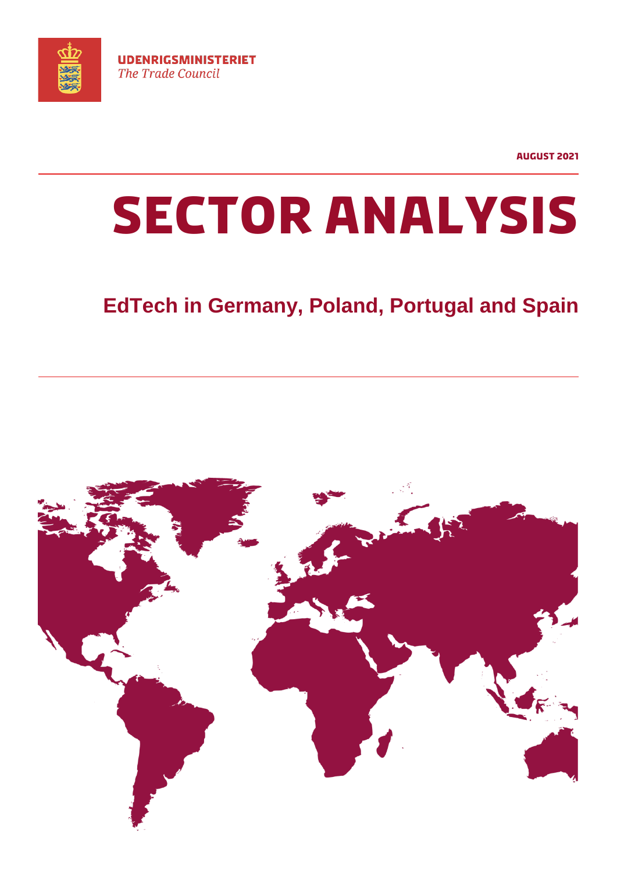

**August 2021**

# **SECTOR ANALYSIS**

# **EdTech in Germany, Poland, Portugal and Spain**

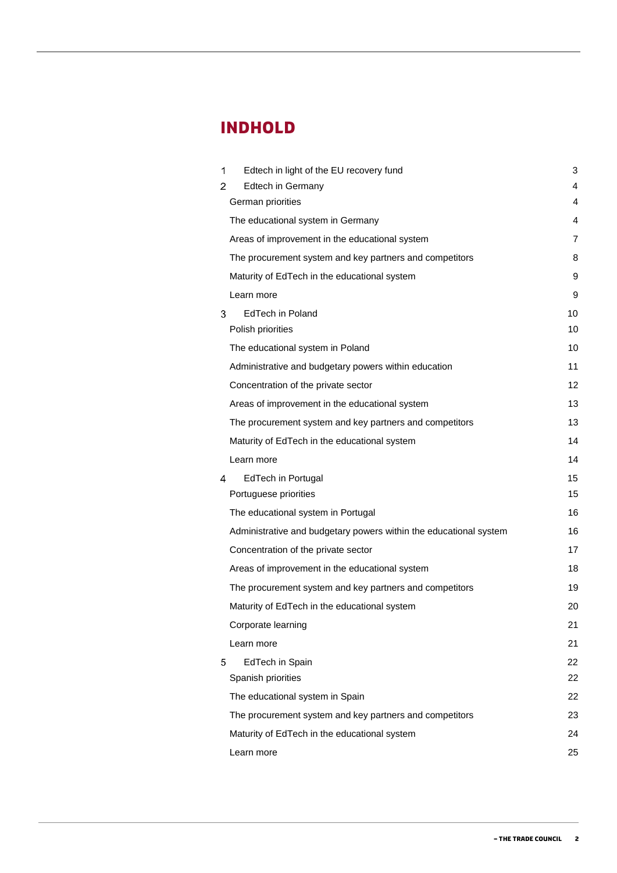# **INDHOLD**

| 1 | Edtech in light of the EU recovery fund                           | 3  |
|---|-------------------------------------------------------------------|----|
| 2 | Edtech in Germany                                                 | 4  |
|   | German priorities                                                 | 4  |
|   | The educational system in Germany                                 | 4  |
|   | Areas of improvement in the educational system                    | 7  |
|   | The procurement system and key partners and competitors           | 8  |
|   | Maturity of EdTech in the educational system                      | 9  |
|   | Learn more                                                        | 9  |
| 3 | EdTech in Poland                                                  | 10 |
|   | Polish priorities                                                 | 10 |
|   | The educational system in Poland                                  | 10 |
|   | Administrative and budgetary powers within education              | 11 |
|   | Concentration of the private sector                               | 12 |
|   | Areas of improvement in the educational system                    | 13 |
|   | The procurement system and key partners and competitors           | 13 |
|   | Maturity of EdTech in the educational system                      | 14 |
|   | Learn more                                                        | 14 |
| 4 | EdTech in Portugal                                                | 15 |
|   | Portuguese priorities                                             | 15 |
|   | The educational system in Portugal                                | 16 |
|   | Administrative and budgetary powers within the educational system | 16 |
|   | Concentration of the private sector                               | 17 |
|   | Areas of improvement in the educational system                    | 18 |
|   | The procurement system and key partners and competitors           | 19 |
|   | Maturity of EdTech in the educational system                      | 20 |
|   | Corporate learning                                                | 21 |
|   | Learn more                                                        | 21 |
| 5 | EdTech in Spain                                                   | 22 |
|   | Spanish priorities                                                | 22 |
|   | The educational system in Spain                                   | 22 |
|   | The procurement system and key partners and competitors           | 23 |
|   | Maturity of EdTech in the educational system                      | 24 |
|   | Learn more                                                        | 25 |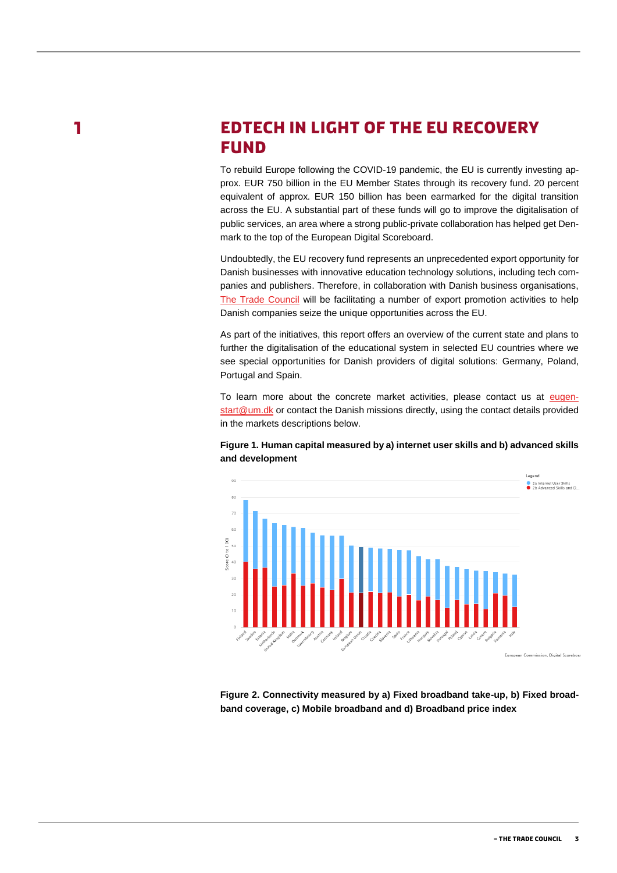$\blacksquare$ 

# <span id="page-2-0"></span>**EDTECH IN LIGHT OF THE EU RECOVERY FUND**

To rebuild Europe following the COVID-19 pandemic, the EU is currently investing approx. EUR 750 billion in the EU Member States through its recovery fund. 20 percent equivalent of approx. EUR 150 billion has been earmarked for the digital transition across the EU. A substantial part of these funds will go to improve the digitalisation of public services, an area where a strong public-private collaboration has helped get Denmark to the top of the European Digital Scoreboard.

Undoubtedly, the EU recovery fund represents an unprecedented export opportunity for Danish businesses with innovative education technology solutions, including tech companies and publishers. Therefore, in collaboration with Danish business organisations, [The Trade Council](https://thetradecouncil.dk/eugenstart) will be facilitating a number of export promotion activities to help Danish companies seize the unique opportunities across the EU.

As part of the initiatives, this report offers an overview of the current state and plans to further the digitalisation of the educational system in selected EU countries where we see special opportunities for Danish providers of digital solutions: Germany, Poland, Portugal and Spain.

To learn more about the concrete market activities, please contact us at [eugen](mailto:eugenstart@um.dk)[start@um.dk](mailto:eugenstart@um.dk) or contact the Danish missions directly, using the contact details provided in the markets descriptions below.

#### **Figure 1. Human capital measured by a) internet user skills and b) advanced skills and development**



**Figure 2. Connectivity measured by a) Fixed broadband take-up, b) Fixed broadband coverage, c) Mobile broadband and d) Broadband price index**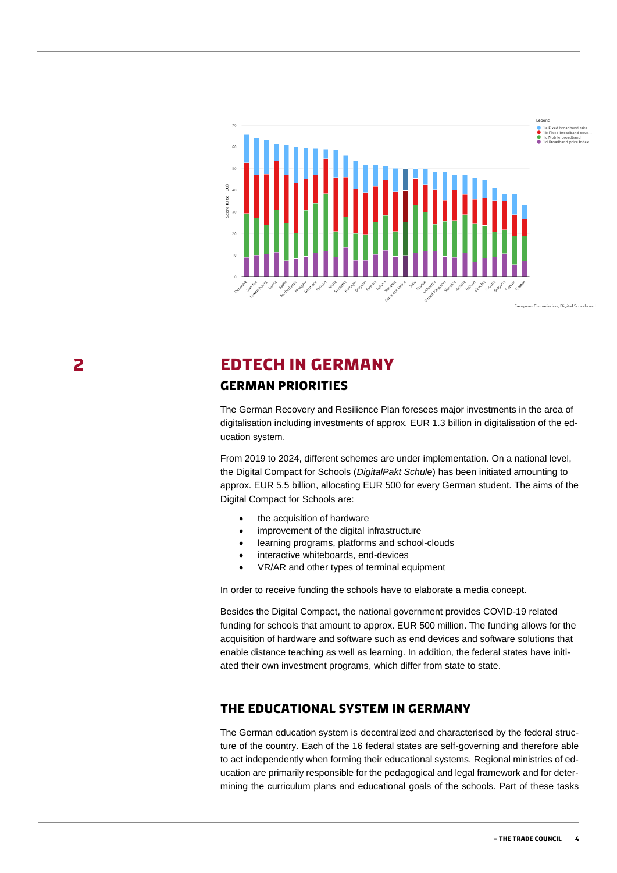

European Commission, Digital Scoreboar

# <span id="page-3-0"></span>**EDTECH IN GERMANY**

#### <span id="page-3-1"></span>**German priorities**

The German Recovery and Resilience Plan foresees major investments in the area of digitalisation including investments of approx. EUR 1.3 billion in digitalisation of the education system.

From 2019 to 2024, different schemes are under implementation. On a national level, the Digital Compact for Schools (*DigitalPakt Schule*) has been initiated amounting to approx. EUR 5.5 billion, allocating EUR 500 for every German student. The aims of the Digital Compact for Schools are:

- the acquisition of hardware
- improvement of the digital infrastructure
- learning programs, platforms and school-clouds
- interactive whiteboards, end-devices
- VR/AR and other types of terminal equipment

In order to receive funding the schools have to elaborate a media concept.

Besides the Digital Compact, the national government provides COVID-19 related funding for schools that amount to approx. EUR 500 million. The funding allows for the acquisition of hardware and software such as end devices and software solutions that enable distance teaching as well as learning. In addition, the federal states have initiated their own investment programs, which differ from state to state.

#### <span id="page-3-2"></span>**The educational system in Germany**

The German education system is decentralized and characterised by the federal structure of the country. Each of the 16 federal states are self-governing and therefore able to act independently when forming their educational systems. Regional ministries of education are primarily responsible for the pedagogical and legal framework and for determining the curriculum plans and educational goals of the schools. Part of these tasks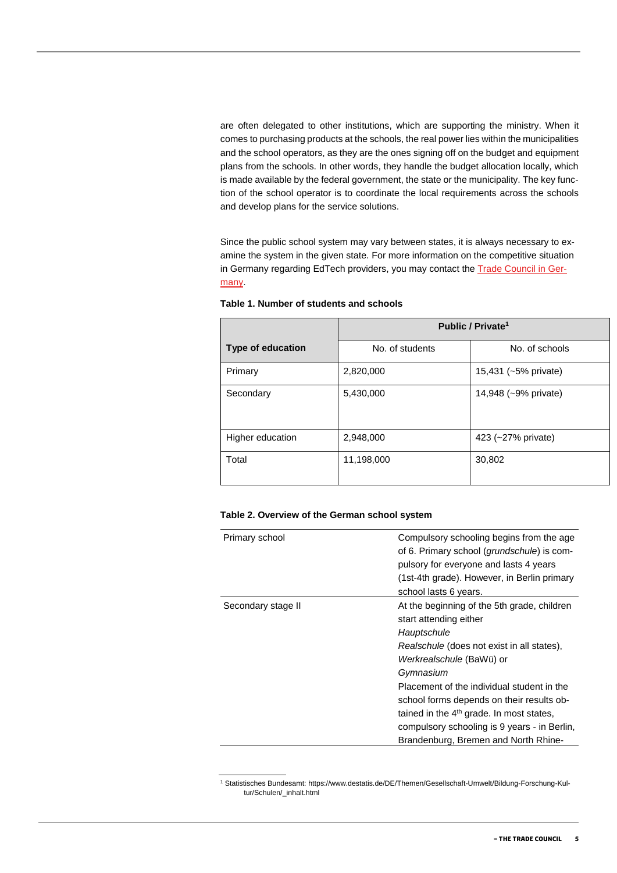are often delegated to other institutions, which are supporting the ministry. When it comes to purchasing products at the schools, the real power lies within the municipalities and the school operators, as they are the ones signing off on the budget and equipment plans from the schools. In other words, they handle the budget allocation locally, which is made available by the federal government, the state or the municipality. The key function of the school operator is to coordinate the local requirements across the schools and develop plans for the service solutions.

Since the public school system may vary between states, it is always necessary to examine the system in the given state. For more information on the competitive situation in Germany regarding EdTech providers, you may contact the [Trade Council in Ger](https://tyskland.um.dk/eksportraadet)[many.](https://tyskland.um.dk/eksportraadet)

|                          | Public / Private <sup>1</sup> |                      |  |
|--------------------------|-------------------------------|----------------------|--|
| <b>Type of education</b> | No. of students               | No. of schools       |  |
| Primary                  | 2,820,000                     | 15,431 (~5% private) |  |
| Secondary                | 5,430,000                     | 14,948 (~9% private) |  |
| Higher education         | 2,948,000                     | 423 (~27% private)   |  |
| Total                    | 11,198,000                    | 30,802               |  |

**Table 1. Number of students and schools**

#### **Table 2. Overview of the German school system**

| Primary school     | Compulsory schooling begins from the age<br>of 6. Primary school (grundschule) is com-<br>pulsory for everyone and lasts 4 years<br>(1st-4th grade). However, in Berlin primary |
|--------------------|---------------------------------------------------------------------------------------------------------------------------------------------------------------------------------|
|                    | school lasts 6 years.                                                                                                                                                           |
| Secondary stage II | At the beginning of the 5th grade, children<br>start attending either<br>Hauptschule                                                                                            |
|                    | Realschule (does not exist in all states),                                                                                                                                      |
|                    | Werkrealschule (BaWü) or                                                                                                                                                        |
|                    | Gymnasium                                                                                                                                                                       |
|                    | Placement of the individual student in the                                                                                                                                      |
|                    | school forms depends on their results ob-                                                                                                                                       |
|                    | tained in the 4 <sup>th</sup> grade. In most states,                                                                                                                            |
|                    | compulsory schooling is 9 years - in Berlin,                                                                                                                                    |
|                    | Brandenburg, Bremen and North Rhine-                                                                                                                                            |

<sup>1</sup> Statistisches Bundesamt: https://www.destatis.de/DE/Themen/Gesellschaft-Umwelt/Bildung-Forschung-Kultur/Schulen/\_inhalt.html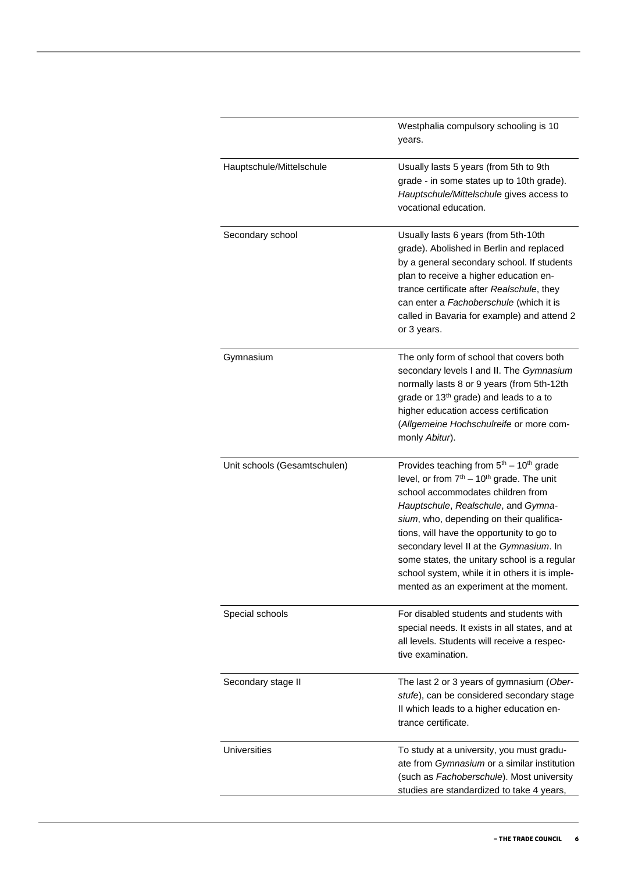|                              | Westphalia compulsory schooling is 10<br>years.                                                                                                                                                                                                                                                                                                                                                                                                                            |
|------------------------------|----------------------------------------------------------------------------------------------------------------------------------------------------------------------------------------------------------------------------------------------------------------------------------------------------------------------------------------------------------------------------------------------------------------------------------------------------------------------------|
| Hauptschule/Mittelschule     | Usually lasts 5 years (from 5th to 9th<br>grade - in some states up to 10th grade).<br>Hauptschule/Mittelschule gives access to<br>vocational education.                                                                                                                                                                                                                                                                                                                   |
| Secondary school             | Usually lasts 6 years (from 5th-10th<br>grade). Abolished in Berlin and replaced<br>by a general secondary school. If students<br>plan to receive a higher education en-<br>trance certificate after Realschule, they<br>can enter a Fachoberschule (which it is<br>called in Bavaria for example) and attend 2<br>or 3 years.                                                                                                                                             |
| Gymnasium                    | The only form of school that covers both<br>secondary levels I and II. The Gymnasium<br>normally lasts 8 or 9 years (from 5th-12th<br>grade or 13 <sup>th</sup> grade) and leads to a to<br>higher education access certification<br>(Allgemeine Hochschulreife or more com-<br>monly Abitur).                                                                                                                                                                             |
| Unit schools (Gesamtschulen) | Provides teaching from $5th - 10th$ grade<br>level, or from 7 <sup>th</sup> - 10 <sup>th</sup> grade. The unit<br>school accommodates children from<br>Hauptschule, Realschule, and Gymna-<br>sium, who, depending on their qualifica-<br>tions, will have the opportunity to go to<br>secondary level II at the Gymnasium. In<br>some states, the unitary school is a regular<br>school system, while it in others it is imple-<br>mented as an experiment at the moment. |
| Special schools              | For disabled students and students with<br>special needs. It exists in all states, and at<br>all levels. Students will receive a respec-<br>tive examination.                                                                                                                                                                                                                                                                                                              |
| Secondary stage II           | The last 2 or 3 years of gymnasium (Ober-<br>stufe), can be considered secondary stage<br>II which leads to a higher education en-<br>trance certificate.                                                                                                                                                                                                                                                                                                                  |
| Universities                 | To study at a university, you must gradu-<br>ate from Gymnasium or a similar institution<br>(such as Fachoberschule). Most university<br>studies are standardized to take 4 years,                                                                                                                                                                                                                                                                                         |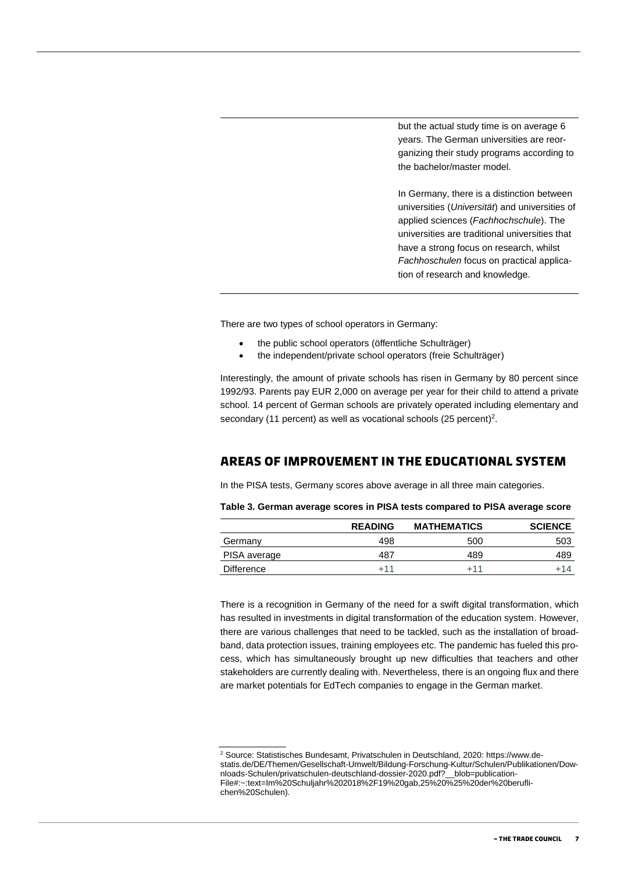but the actual study time is on average 6 years. The German universities are reorganizing their study programs according to the bachelor/master model.

In Germany, there is a distinction between universities (*Universität*) and universities of applied sciences (*Fachhochschule*). The universities are traditional universities that have a strong focus on research, whilst *Fachhoschulen* focus on practical application of research and knowledge.

There are two types of school operators in Germany:

- the public school operators (öffentliche Schulträger)
- the independent/private school operators (freie Schulträger)

Interestingly, the amount of private schools has risen in Germany by 80 percent since 1992/93. Parents pay EUR 2,000 on average per year for their child to attend a private school. 14 percent of German schools are privately operated including elementary and secondary (11 percent) as well as vocational schools (25 percent)<sup>2</sup>.

#### <span id="page-6-0"></span>**Areas of improvement in the educational system**

In the PISA tests, Germany scores above average in all three main categories.

**Table 3. German average scores in PISA tests compared to PISA average score**

|              | <b>READING</b> | <b>MATHEMATICS</b> | <b>SCIENCE</b> |
|--------------|----------------|--------------------|----------------|
| Germany      | 498            | 500                | 503            |
| PISA average | 487            | 489                | 489            |
| Difference   | +11            | +11                | +14            |
|              |                |                    |                |

There is a recognition in Germany of the need for a swift digital transformation, which has resulted in investments in digital transformation of the education system. However, there are various challenges that need to be tackled, such as the installation of broadband, data protection issues, training employees etc. The pandemic has fueled this process, which has simultaneously brought up new difficulties that teachers and other stakeholders are currently dealing with. Nevertheless, there is an ongoing flux and there are market potentials for EdTech companies to engage in the German market.

<sup>2</sup> Source: Statistisches Bundesamt, Privatschulen in Deutschland, 2020: https://www.destatis.de/DE/Themen/Gesellschaft-Umwelt/Bildung-Forschung-Kultur/Schulen/Publikationen/Downloads-Schulen/privatschulen-deutschland-dossier-2020.pdf?\_\_blob=publication-File#:~:text=Im%20Schuljahr%202018%2F19%20gab,25%20%25%20der%20beruflichen%20Schulen).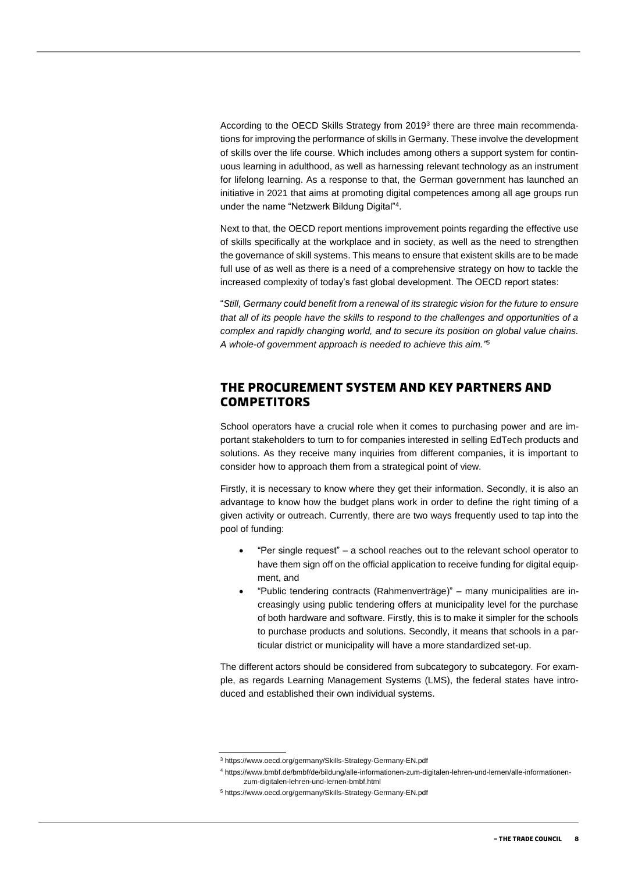According to the OECD Skills Strategy from 2019<sup>3</sup> there are three main recommendations for improving the performance of skills in Germany. These involve the development of skills over the life course. Which includes among others a support system for continuous learning in adulthood, as well as harnessing relevant technology as an instrument for lifelong learning. As a response to that, the German government has launched an initiative in 2021 that aims at promoting digital competences among all age groups run under the name "Netzwerk Bildung Digital"<sup>4</sup> .

Next to that, the OECD report mentions improvement points regarding the effective use of skills specifically at the workplace and in society, as well as the need to strengthen the governance of skill systems. This means to ensure that existent skills are to be made full use of as well as there is a need of a comprehensive strategy on how to tackle the increased complexity of today's fast global development. The OECD report states:

"*Still, Germany could benefit from a renewal of its strategic vision for the future to ensure that all of its people have the skills to respond to the challenges and opportunities of a complex and rapidly changing world, and to secure its position on global value chains. A whole-of government approach is needed to achieve this aim." 5*

#### <span id="page-7-0"></span>**The procurement system and key partners and competitors**

School operators have a crucial role when it comes to purchasing power and are important stakeholders to turn to for companies interested in selling EdTech products and solutions. As they receive many inquiries from different companies, it is important to consider how to approach them from a strategical point of view.

Firstly, it is necessary to know where they get their information. Secondly, it is also an advantage to know how the budget plans work in order to define the right timing of a given activity or outreach. Currently, there are two ways frequently used to tap into the pool of funding:

- "Per single request" a school reaches out to the relevant school operator to have them sign off on the official application to receive funding for digital equipment, and
- "Public tendering contracts (Rahmenverträge)" many municipalities are increasingly using public tendering offers at municipality level for the purchase of both hardware and software. Firstly, this is to make it simpler for the schools to purchase products and solutions. Secondly, it means that schools in a particular district or municipality will have a more standardized set-up.

The different actors should be considered from subcategory to subcategory. For example, as regards Learning Management Systems (LMS), the federal states have introduced and established their own individual systems.

<sup>3</sup> https://www.oecd.org/germany/Skills-Strategy-Germany-EN.pdf

<sup>4</sup> https://www.bmbf.de/bmbf/de/bildung/alle-informationen-zum-digitalen-lehren-und-lernen/alle-informationenzum-digitalen-lehren-und-lernen-bmbf.html

<sup>5</sup> https://www.oecd.org/germany/Skills-Strategy-Germany-EN.pdf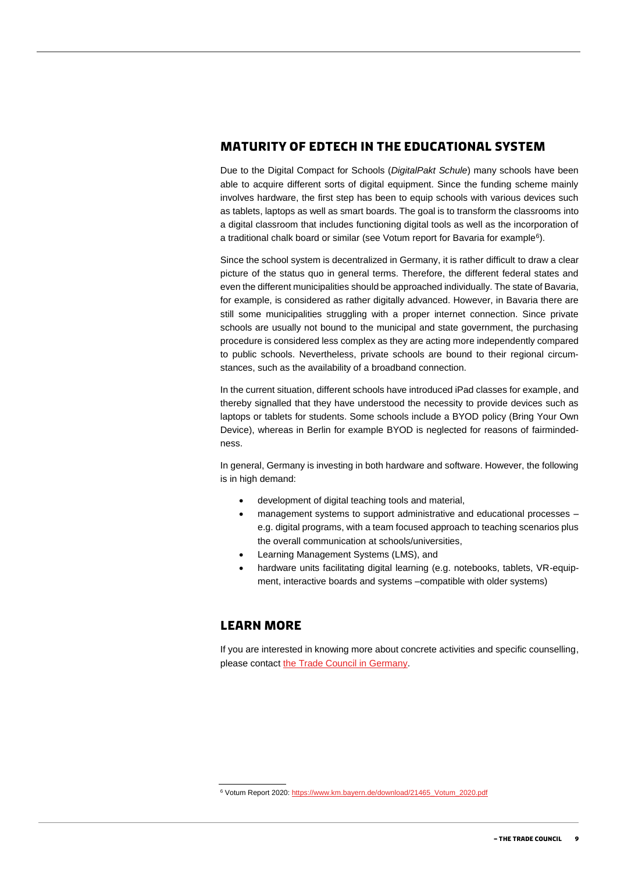#### <span id="page-8-0"></span>**Maturity of EdTech in the educational system**

Due to the Digital Compact for Schools (*DigitalPakt Schule*) many schools have been able to acquire different sorts of digital equipment. Since the funding scheme mainly involves hardware, the first step has been to equip schools with various devices such as tablets, laptops as well as smart boards. The goal is to transform the classrooms into a digital classroom that includes functioning digital tools as well as the incorporation of a traditional chalk board or similar (see Votum report for Bavaria for example<sup>6</sup>).

Since the school system is decentralized in Germany, it is rather difficult to draw a clear picture of the status quo in general terms. Therefore, the different federal states and even the different municipalities should be approached individually. The state of Bavaria, for example, is considered as rather digitally advanced. However, in Bavaria there are still some municipalities struggling with a proper internet connection. Since private schools are usually not bound to the municipal and state government, the purchasing procedure is considered less complex as they are acting more independently compared to public schools. Nevertheless, private schools are bound to their regional circumstances, such as the availability of a broadband connection.

In the current situation, different schools have introduced iPad classes for example, and thereby signalled that they have understood the necessity to provide devices such as laptops or tablets for students. Some schools include a BYOD policy (Bring Your Own Device), whereas in Berlin for example BYOD is neglected for reasons of fairmindedness.

In general, Germany is investing in both hardware and software. However, the following is in high demand:

- development of digital teaching tools and material,
- management systems to support administrative and educational processes e.g. digital programs, with a team focused approach to teaching scenarios plus the overall communication at schools/universities,
- Learning Management Systems (LMS), and
- hardware units facilitating digital learning (e.g. notebooks, tablets, VR-equipment, interactive boards and systems –compatible with older systems)

#### <span id="page-8-1"></span>**Learn more**

If you are interested in knowing more about concrete activities and specific counselling, please contact [the Trade Council in Germany.](https://tyskland.um.dk/eksportraadet)

<sup>6</sup> Votum Report 2020[: https://www.km.bayern.de/download/21465\\_Votum\\_2020.pdf](https://www.km.bayern.de/download/21465_Votum_2020.pdf)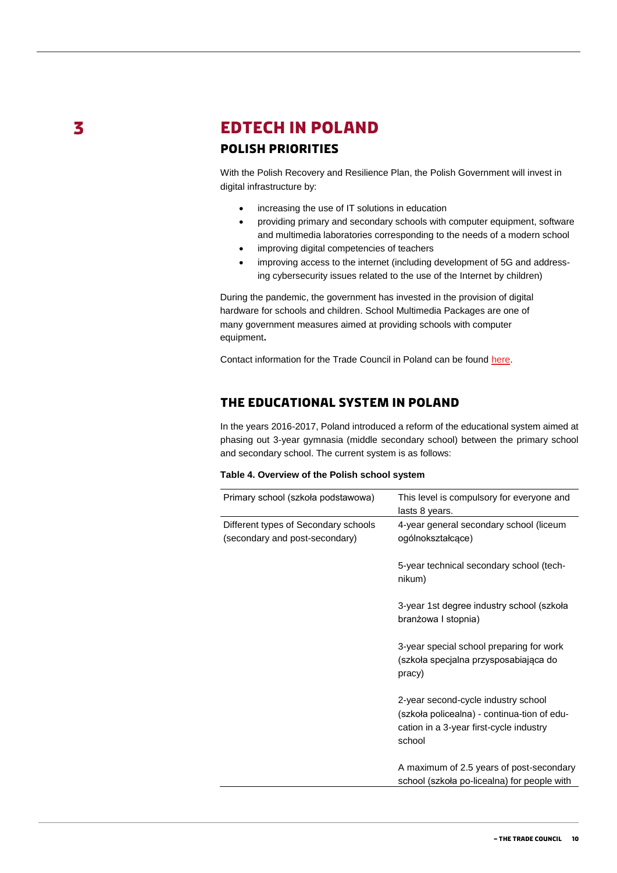3

# <span id="page-9-1"></span><span id="page-9-0"></span>**EDTECH IN POLAND Polish priorities**

With the Polish Recovery and Resilience Plan, the Polish Government will invest in digital infrastructure by:

- increasing the use of IT solutions in education
- providing primary and secondary schools with computer equipment, software and multimedia laboratories corresponding to the needs of a modern school
- improving digital competencies of teachers
- improving access to the internet (including development of 5G and addressing cybersecurity issues related to the use of the Internet by children)

During the pandemic, the government has invested in the provision of digital hardware for schools and children. School Multimedia Packages are one of many government measures aimed at providing schools with computer equipment**.** 

Contact information for the Trade Council in Poland can be found [here.](https://polen.um.dk/eksportraadet/medarbejdere)

#### <span id="page-9-2"></span>**The educational system in Poland**

In the years 2016-2017, Poland introduced a reform of the educational system aimed at phasing out 3-year gymnasia (middle secondary school) between the primary school and secondary school. The current system is as follows:

| Table 4. Overview of the Polish school system |  |  |  |  |  |  |
|-----------------------------------------------|--|--|--|--|--|--|
|-----------------------------------------------|--|--|--|--|--|--|

| Primary school (szkoła podstawowa)                                     | This level is compulsory for everyone and<br>lasts 8 years.                                                                             |
|------------------------------------------------------------------------|-----------------------------------------------------------------------------------------------------------------------------------------|
| Different types of Secondary schools<br>(secondary and post-secondary) | 4-year general secondary school (liceum<br>ogólnokształcące)                                                                            |
|                                                                        | 5-year technical secondary school (tech-<br>nikum)                                                                                      |
|                                                                        | 3-year 1st degree industry school (szkoła<br>branżowa I stopnia)                                                                        |
|                                                                        | 3-year special school preparing for work<br>(szkoła specjalna przysposabiająca do<br>pracy)                                             |
|                                                                        | 2-year second-cycle industry school<br>(szkoła policealna) - continua-tion of edu-<br>cation in a 3-year first-cycle industry<br>school |
|                                                                        | A maximum of 2.5 years of post-secondary<br>school (szkoła po-licealna) for people with                                                 |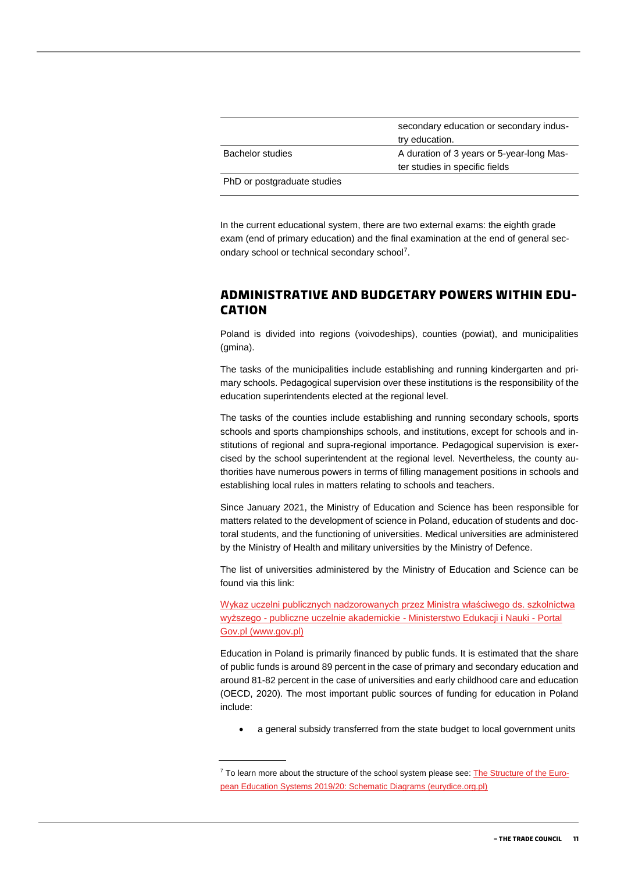|                             | secondary education or secondary indus-<br>try education. |
|-----------------------------|-----------------------------------------------------------|
| <b>Bachelor studies</b>     | A duration of 3 years or 5-year-long Mas-                 |
|                             | ter studies in specific fields                            |
| PhD or postgraduate studies |                                                           |

In the current educational system, there are two external exams: the eighth grade exam (end of primary education) and the final examination at the end of general secondary school or technical secondary school<sup>7</sup>.

#### <span id="page-10-0"></span>**Administrative and budgetary powers within education**

Poland is divided into regions (voivodeships), counties (powiat), and municipalities (gmina).

The tasks of the municipalities include establishing and running kindergarten and primary schools. Pedagogical supervision over these institutions is the responsibility of the education superintendents elected at the regional level.

The tasks of the counties include establishing and running secondary schools, sports schools and sports championships schools, and institutions, except for schools and institutions of regional and supra-regional importance. Pedagogical supervision is exercised by the school superintendent at the regional level. Nevertheless, the county authorities have numerous powers in terms of filling management positions in schools and establishing local rules in matters relating to schools and teachers.

Since January 2021, the Ministry of Education and Science has been responsible for matters related to the development of science in Poland, education of students and doctoral students, and the functioning of universities. Medical universities are administered by the Ministry of Health and military universities by the Ministry of Defence.

The list of universities administered by the Ministry of Education and Science can be found via this link:

[Wykaz uczelni publicznych nadzorowanych przez Ministra właściwego ds. szkolnictwa](https://www.gov.pl/web/edukacja-i-nauka/wykaz-uczelni-publicznych-nadzorowanych-przez-ministra-wlasciwego-ds-szkolnictwa-wyzszego-publiczne-uczelnie-akademickie) wyższego - [publiczne uczelnie akademickie -](https://www.gov.pl/web/edukacja-i-nauka/wykaz-uczelni-publicznych-nadzorowanych-przez-ministra-wlasciwego-ds-szkolnictwa-wyzszego-publiczne-uczelnie-akademickie) Ministerstwo Edukacji i Nauki - Portal [Gov.pl \(www.gov.pl\)](https://www.gov.pl/web/edukacja-i-nauka/wykaz-uczelni-publicznych-nadzorowanych-przez-ministra-wlasciwego-ds-szkolnictwa-wyzszego-publiczne-uczelnie-akademickie)

Education in Poland is primarily financed by public funds. It is estimated that the share of public funds is around 89 percent in the case of primary and secondary education and around 81-82 percent in the case of universities and early childhood care and education (OECD, 2020). The most important public sources of funding for education in Poland include:

a general subsidy transferred from the state budget to local government units

 $7$  To learn more about the structure of the school system please see: [The Structure of the Euro](https://eurydice.org.pl/wp-content/uploads/2019/10/the_structure_of_the_european_education_systems_2019_20.pdf)[pean Education Systems 2019/20: Schematic Diagrams \(eurydice.org.pl\)](https://eurydice.org.pl/wp-content/uploads/2019/10/the_structure_of_the_european_education_systems_2019_20.pdf)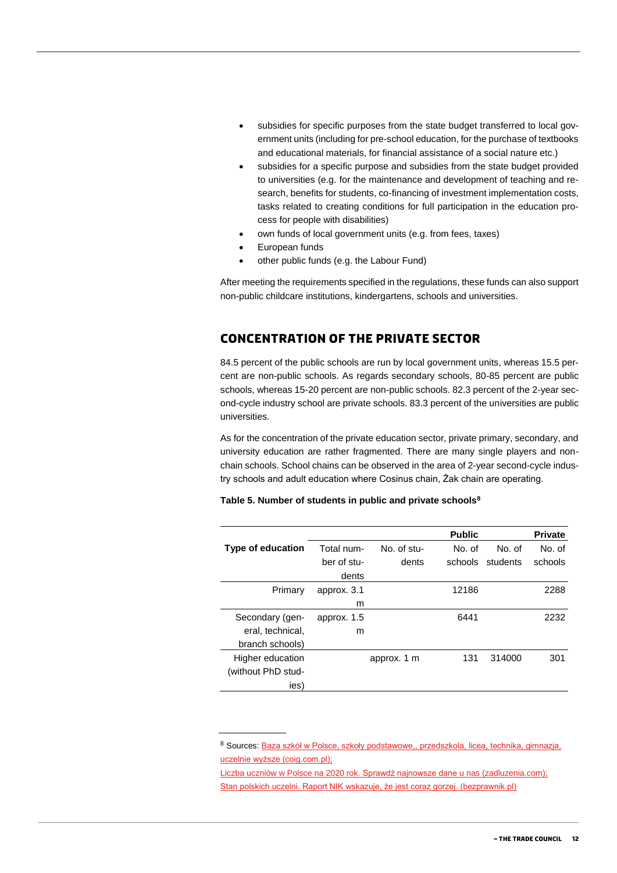- subsidies for specific purposes from the state budget transferred to local government units (including for pre-school education, for the purchase of textbooks and educational materials, for financial assistance of a social nature etc.)
- subsidies for a specific purpose and subsidies from the state budget provided to universities (e.g. for the maintenance and development of teaching and research, benefits for students, co-financing of investment implementation costs, tasks related to creating conditions for full participation in the education process for people with disabilities)
- own funds of local government units (e.g. from fees, taxes)
- European funds
- other public funds (e.g. the Labour Fund)

After meeting the requirements specified in the regulations, these funds can also support non-public childcare institutions, kindergartens, schools and universities.

#### <span id="page-11-0"></span>**Concentration of the private sector**

84.5 percent of the public schools are run by local government units, whereas 15.5 percent are non-public schools. As regards secondary schools, 80-85 percent are public schools, whereas 15-20 percent are non-public schools. 82.3 percent of the 2-year second-cycle industry school are private schools. 83.3 percent of the universities are public universities.

As for the concentration of the private education sector, private primary, secondary, and university education are rather fragmented. There are many single players and nonchain schools. School chains can be observed in the area of 2-year second-cycle industry schools and adult education where Cosinus chain, Żak chain are operating.

|                          |             |             | <b>Public</b> |          | <b>Private</b> |
|--------------------------|-------------|-------------|---------------|----------|----------------|
| <b>Type of education</b> | Total num-  | No. of stu- | No. of        | No. of   | No. of         |
|                          | ber of stu- | dents       | schools       | students | schools        |
|                          | dents       |             |               |          |                |
| Primary                  | approx. 3.1 |             | 12186         |          | 2288           |
|                          | m           |             |               |          |                |
| Secondary (gen-          | approx. 1.5 |             | 6441          |          | 2232           |
| eral, technical,         | m           |             |               |          |                |
| branch schools)          |             |             |               |          |                |
| Higher education         |             | approx. 1 m | 131           | 314000   | 301            |
| (without PhD stud-       |             |             |               |          |                |
| ies)                     |             |             |               |          |                |

8 Sources: Baza szkół w Polsce, szkoły podstawowe,, przedszkola, licea, technika, gimnazja, [uczelnie wyższe \(coig.com.pl\);](https://www.coig.com.pl/Baza_szkol_w_Polsce.php)

[Liczba uczniów w Polsce na 2020 rok.](https://www.zadluzenia.com/ilu-jest-uczniow-w-polsce/) Sprawdź najnowsze dane u nas (zadluzenia.com); [Stan polskich uczelni. Raport NIK wskazuje, że jest coraz gorzej. \(bezprawnik.pl\)](https://bezprawnik.pl/stan-polskich-uczelni/)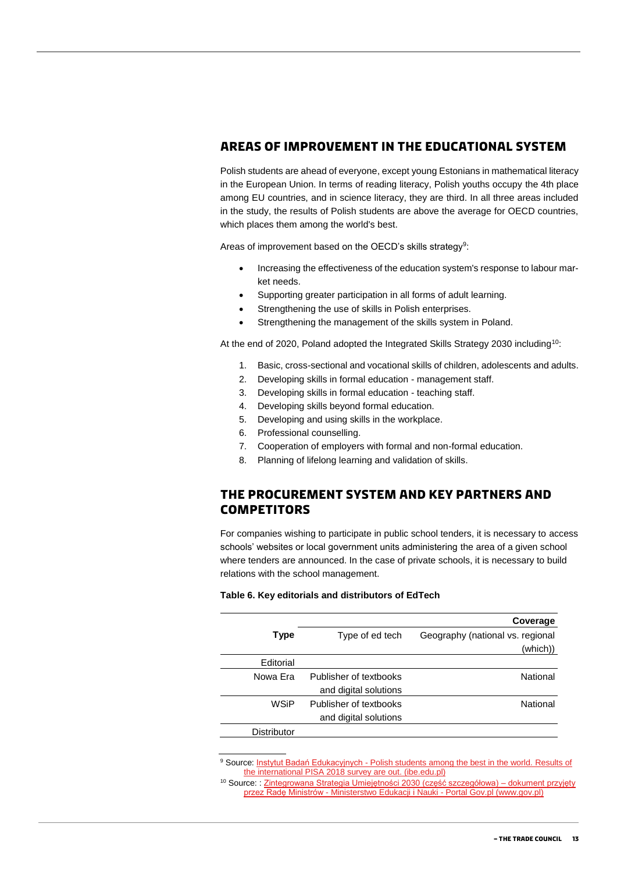#### <span id="page-12-0"></span>**Areas of improvement in the educational system**

Polish students are ahead of everyone, except young Estonians in mathematical literacy in the European Union. In terms of reading literacy, Polish youths occupy the 4th place among EU countries, and in science literacy, they are third. In all three areas included in the study, the results of Polish students are above the average for OECD countries, which places them among the world's best.

Areas of improvement based on the OECD's skills strategy<sup>9</sup>:

- Increasing the effectiveness of the education system's response to labour market needs.
- Supporting greater participation in all forms of adult learning.
- Strengthening the use of skills in Polish enterprises.
- Strengthening the management of the skills system in Poland.

At the end of 2020, Poland adopted the Integrated Skills Strategy 2030 including<sup>10</sup>:

- 1. Basic, cross-sectional and vocational skills of children, adolescents and adults.
- 2. Developing skills in formal education management staff.
- 3. Developing skills in formal education teaching staff.
- 4. Developing skills beyond formal education.
- 5. Developing and using skills in the workplace.
- 6. Professional counselling.
- 7. Cooperation of employers with formal and non-formal education.
- 8. Planning of lifelong learning and validation of skills.

#### <span id="page-12-1"></span>**The procurement system and key partners and competitors**

For companies wishing to participate in public school tenders, it is necessary to access schools' websites or local government units administering the area of a given school where tenders are announced. In the case of private schools, it is necessary to build relations with the school management.

#### **Table 6. Key editorials and distributors of EdTech**

|                        | Coverage                         |
|------------------------|----------------------------------|
| Type of ed tech        | Geography (national vs. regional |
|                        | (which))                         |
|                        |                                  |
| Publisher of textbooks | National                         |
| and digital solutions  |                                  |
| Publisher of textbooks | National                         |
| and digital solutions  |                                  |
|                        |                                  |
|                        |                                  |

<sup>9</sup> Source: Instytut Badań Edukacyjnych - Polish students among the best in the world. Results of the international PISA [2018 survey are out. \(ibe.edu.pl\)](https://www.ibe.edu.pl/en/news/1087-polish-students-among-the-best-in-the-world-results-of-the-international-pisa-2018-survey-are-out)

<sup>10</sup> Source: [: Zintegrowana Strategia Umiejętności 2030 \(część szczegółowa\) –](https://www.gov.pl/web/edukacja-i-nauka/zintegrowana-strategia-umiejetnosci-2030-czesc-szczegolowa--dokument-przyjety-przez-rade-ministrow#:~:text=Zintegrowana%20Strategia%20Umiej%C4%99tno%C5%9Bci%202030%20(ZSU,i%20osi%C4%85gni%C4%99cia%20wysokiej%20jako%C5%9Bci%20%C5%BCycia.) dokument przyjęty przez Radę Ministrów - [Ministerstwo Edukacji i Nauki -](https://www.gov.pl/web/edukacja-i-nauka/zintegrowana-strategia-umiejetnosci-2030-czesc-szczegolowa--dokument-przyjety-przez-rade-ministrow#:~:text=Zintegrowana%20Strategia%20Umiej%C4%99tno%C5%9Bci%202030%20(ZSU,i%20osi%C4%85gni%C4%99cia%20wysokiej%20jako%C5%9Bci%20%C5%BCycia.) Portal Gov.pl (www.gov.pl)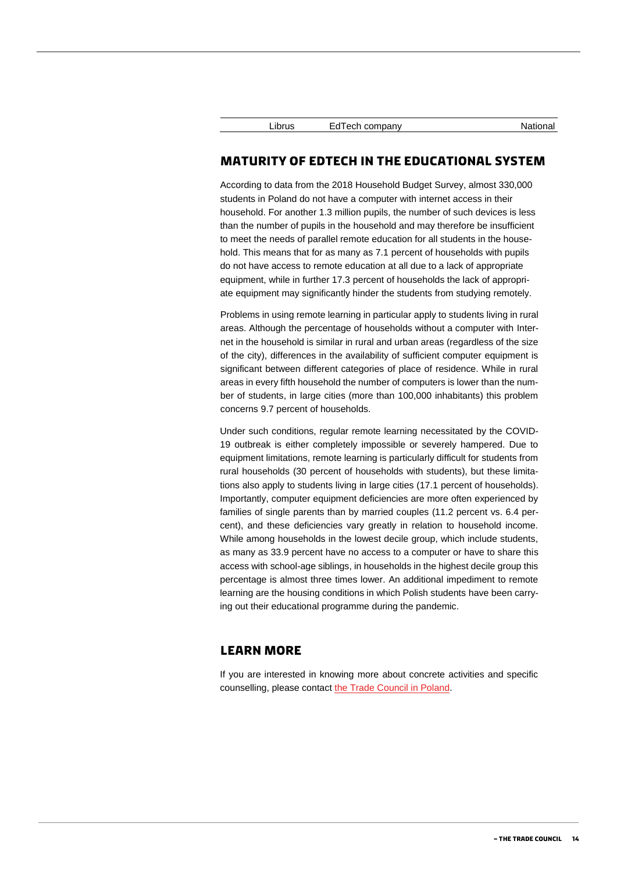#### <span id="page-13-0"></span>**Maturity of EdTech in the educational system**

According to data from the 2018 Household Budget Survey, almost 330,000 students in Poland do not have a computer with internet access in their household. For another 1.3 million pupils, the number of such devices is less than the number of pupils in the household and may therefore be insufficient to meet the needs of parallel remote education for all students in the household. This means that for as many as 7.1 percent of households with pupils do not have access to remote education at all due to a lack of appropriate equipment, while in further 17.3 percent of households the lack of appropriate equipment may significantly hinder the students from studying remotely.

Problems in using remote learning in particular apply to students living in rural areas. Although the percentage of households without a computer with Internet in the household is similar in rural and urban areas (regardless of the size of the city), differences in the availability of sufficient computer equipment is significant between different categories of place of residence. While in rural areas in every fifth household the number of computers is lower than the number of students, in large cities (more than 100,000 inhabitants) this problem concerns 9.7 percent of households.

Under such conditions, regular remote learning necessitated by the COVID-19 outbreak is either completely impossible or severely hampered. Due to equipment limitations, remote learning is particularly difficult for students from rural households (30 percent of households with students), but these limitations also apply to students living in large cities (17.1 percent of households). Importantly, computer equipment deficiencies are more often experienced by families of single parents than by married couples (11.2 percent vs. 6.4 percent), and these deficiencies vary greatly in relation to household income. While among households in the lowest decile group, which include students, as many as 33.9 percent have no access to a computer or have to share this access with school-age siblings, in households in the highest decile group this percentage is almost three times lower. An additional impediment to remote learning are the housing conditions in which Polish students have been carrying out their educational programme during the pandemic.

#### <span id="page-13-1"></span>**Learn more**

If you are interested in knowing more about concrete activities and specific counselling, please contact [the Trade Council in Poland.](https://polen.um.dk/eksportraadet)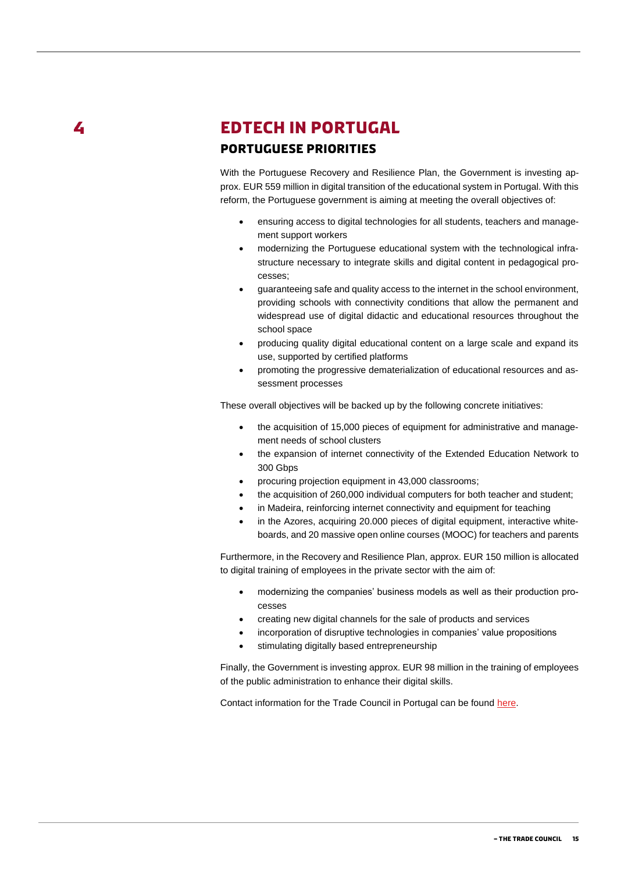L

# <span id="page-14-1"></span><span id="page-14-0"></span>**EDTECH IN PORTUGAL Portuguese priorities**

With the Portuguese Recovery and Resilience Plan, the Government is investing approx. EUR 559 million in digital transition of the educational system in Portugal. With this reform, the Portuguese government is aiming at meeting the overall objectives of:

- ensuring access to digital technologies for all students, teachers and management support workers
- modernizing the Portuguese educational system with the technological infrastructure necessary to integrate skills and digital content in pedagogical processes;
- guaranteeing safe and quality access to the internet in the school environment, providing schools with connectivity conditions that allow the permanent and widespread use of digital didactic and educational resources throughout the school space
- producing quality digital educational content on a large scale and expand its use, supported by certified platforms
- promoting the progressive dematerialization of educational resources and assessment processes

These overall objectives will be backed up by the following concrete initiatives:

- the acquisition of 15,000 pieces of equipment for administrative and management needs of school clusters
- the expansion of internet connectivity of the Extended Education Network to 300 Gbps
- procuring projection equipment in 43,000 classrooms;
- the acquisition of 260,000 individual computers for both teacher and student;
- in Madeira, reinforcing internet connectivity and equipment for teaching
- in the Azores, acquiring 20.000 pieces of digital equipment, interactive whiteboards, and 20 massive open online courses (MOOC) for teachers and parents

Furthermore, in the Recovery and Resilience Plan, approx. EUR 150 million is allocated to digital training of employees in the private sector with the aim of:

- modernizing the companies' business models as well as their production processes
- creating new digital channels for the sale of products and services
- incorporation of disruptive technologies in companies' value propositions
- stimulating digitally based entrepreneurship

Finally, the Government is investing approx. EUR 98 million in the training of employees of the public administration to enhance their digital skills.

Contact information for the Trade Council in Portugal can be found [here.](https://portugal.um.dk/eksportraadet)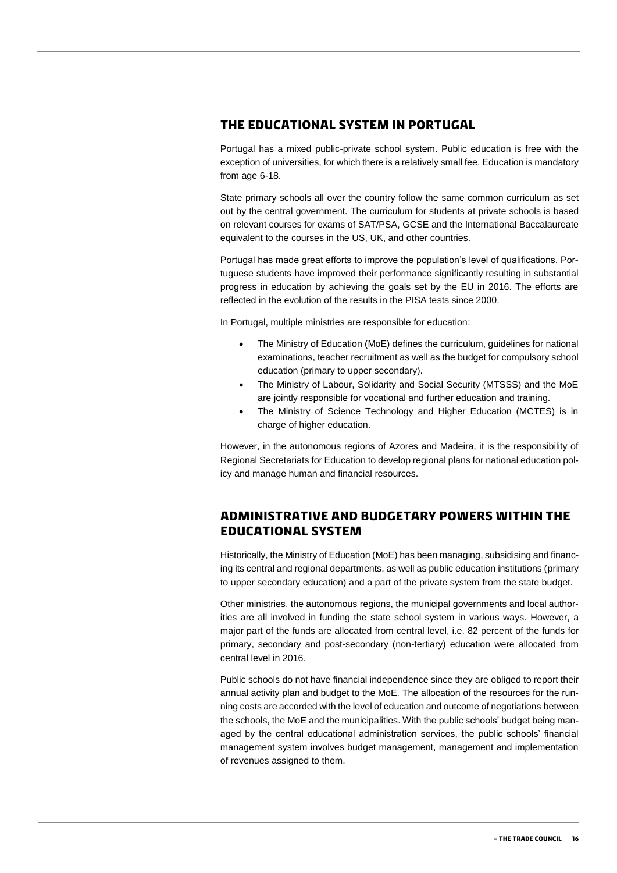#### <span id="page-15-0"></span>**The educational system in Portugal**

Portugal has a mixed public-private school system. Public education is free with the exception of universities, for which there is a relatively small fee. Education is mandatory from age 6-18.

State primary schools all over the country follow the same common curriculum as set out by the central government. The curriculum for students at private schools is based on relevant courses for exams of SAT/PSA, GCSE and the International Baccalaureate equivalent to the courses in the US, UK, and other countries.

Portugal has made great efforts to improve the population's level of qualifications. Portuguese students have improved their performance significantly resulting in substantial progress in education by achieving the goals set by the EU in 2016. The efforts are reflected in the evolution of the results in the PISA tests since 2000.

In Portugal, multiple ministries are responsible for education:

- The Ministry of Education (MoE) defines the curriculum, guidelines for national examinations, teacher recruitment as well as the budget for compulsory school education (primary to upper secondary).
- The Ministry of Labour, Solidarity and Social Security (MTSSS) and the MoE are jointly responsible for vocational and further education and training.
- The Ministry of Science Technology and Higher Education (MCTES) is in charge of higher education.

However, in the autonomous regions of Azores and Madeira, it is the responsibility of Regional Secretariats for Education to develop regional plans for national education policy and manage human and financial resources.

#### <span id="page-15-1"></span>**Administrative and budgetary powers within the educational system**

Historically, the Ministry of Education (MoE) has been managing, subsidising and financing its central and regional departments, as well as public education institutions (primary to upper secondary education) and a part of the private system from the state budget.

Other ministries, the autonomous regions, the municipal governments and local authorities are all involved in funding the state school system in various ways. However, a major part of the funds are allocated from central level, i.e. 82 percent of the funds for primary, secondary and post-secondary (non-tertiary) education were allocated from central level in 2016.

Public schools do not have financial independence since they are obliged to report their annual activity plan and budget to the MoE. The allocation of the resources for the running costs are accorded with the level of education and outcome of negotiations between the schools, the MoE and the municipalities. With the public schools' budget being managed by the central educational administration services, the public schools' financial management system involves budget management, management and implementation of revenues assigned to them.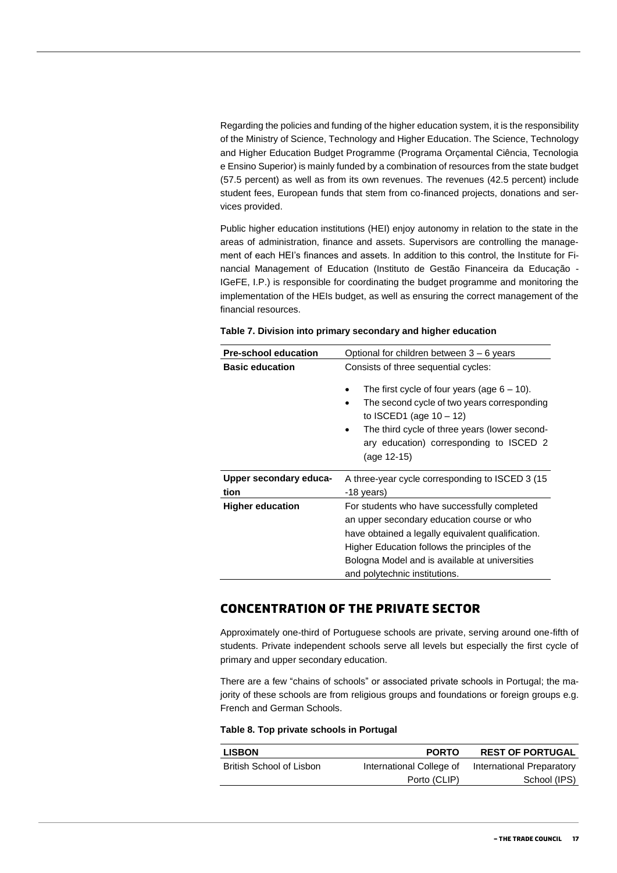Regarding the policies and funding of the higher education system, it is the responsibility of the Ministry of Science, Technology and Higher Education. The Science, Technology and Higher Education Budget Programme (Programa Orçamental Ciência, Tecnologia e Ensino Superior) is mainly funded by a combination of resources from the state budget (57.5 percent) as well as from its own revenues. The revenues (42.5 percent) include student fees, European funds that stem from co-financed projects, donations and services provided.

Public higher education institutions (HEI) enjoy autonomy in relation to the state in the areas of administration, finance and assets. Supervisors are controlling the management of each HEI's finances and assets. In addition to this control, the Institute for Financial Management of Education (Instituto de Gestão Financeira da Educação - IGeFE, I.P.) is responsible for coordinating the budget programme and monitoring the implementation of the HEIs budget, as well as ensuring the correct management of the financial resources.

| <b>Pre-school education</b> | Optional for children between $3 - 6$ years                                                                                                                                                       |  |
|-----------------------------|---------------------------------------------------------------------------------------------------------------------------------------------------------------------------------------------------|--|
| <b>Basic education</b>      | Consists of three sequential cycles:<br>The first cycle of four years (age $6 - 10$ ).<br>The second cycle of two years corresponding                                                             |  |
|                             | to ISCED1 (age $10 - 12$ )<br>The third cycle of three years (lower second-<br>ary education) corresponding to ISCED 2<br>(age 12-15)                                                             |  |
| Upper secondary educa-      | A three-year cycle corresponding to ISCED 3 (15                                                                                                                                                   |  |
| tion                        | -18 years)                                                                                                                                                                                        |  |
| <b>Higher education</b>     | For students who have successfully completed<br>an upper secondary education course or who<br>have obtained a legally equivalent qualification.<br>Higher Education follows the principles of the |  |
|                             | Bologna Model and is available at universities                                                                                                                                                    |  |
|                             | and polytechnic institutions.                                                                                                                                                                     |  |

#### **Table 7. Division into primary secondary and higher education**

#### <span id="page-16-0"></span>**Concentration of the private sector**

Approximately one-third of Portuguese schools are private, serving around one-fifth of students. Private independent schools serve all levels but especially the first cycle of primary and upper secondary education.

There are a few "chains of schools" or associated private schools in Portugal; the majority of these schools are from religious groups and foundations or foreign groups e.g. French and German Schools.

#### **Table 8. Top private schools in Portugal**

| <b>PORTO</b>             | <b>REST OF PORTUGAL</b>   |
|--------------------------|---------------------------|
| International College of | International Preparatory |
| Porto (CLIP)             | School (IPS)              |
|                          |                           |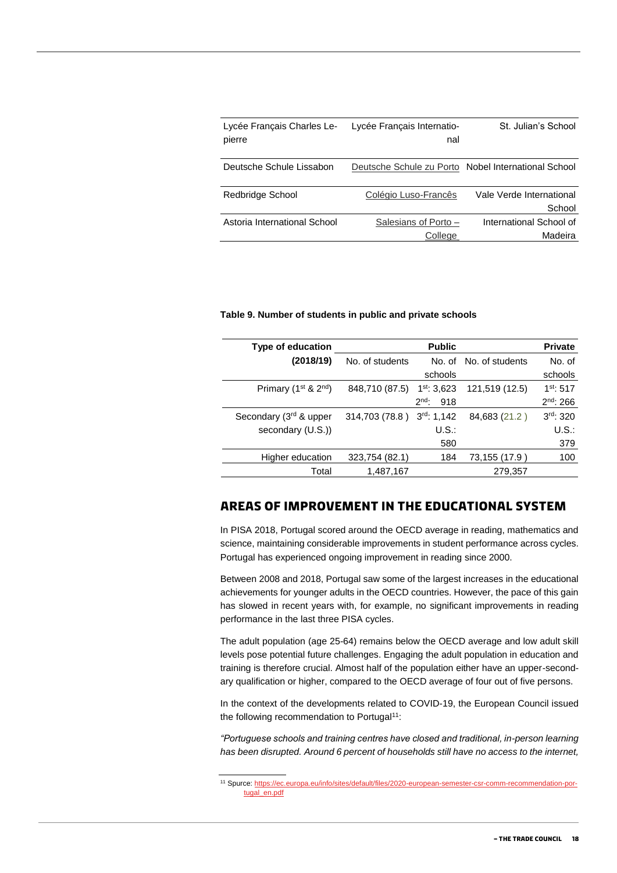| Lycée Français Internatio- | St. Julian's School                                 |
|----------------------------|-----------------------------------------------------|
|                            |                                                     |
|                            | Deutsche Schule zu Porto Nobel International School |
| Colégio Luso-Francês       | Vale Verde International                            |
|                            | School                                              |
| Salesians of Porto -       | International School of                             |
| College                    | Madeira                                             |
|                            | nal                                                 |

#### **Table 9. Number of students in public and private schools**

| Type of education                            |                 | <b>Public</b>    |                        | <b>Private</b> |
|----------------------------------------------|-----------------|------------------|------------------------|----------------|
| (2018/19)                                    | No. of students |                  | No. of No. of students | No. of         |
|                                              |                 | schools          |                        | schools        |
| Primary (1 <sup>st</sup> & 2 <sup>nd</sup> ) | 848,710 (87.5)  | $1st$ : 3,623    | 121,519 (12.5)         | $1^{st}$ : 517 |
|                                              |                 | $2nd$ .<br>918   |                        | $2^{nd}$ : 266 |
| Secondary (3rd & upper                       | 314,703 (78.8)  | $3^{rd}$ : 1,142 | 84,683 (21.2)          | 3rd: 320       |
| secondary (U.S.))                            |                 | U.S.             |                        | $U.S.$ :       |
|                                              |                 | 580              |                        | 379            |
| Higher education                             | 323,754 (82.1)  | 184              | 73,155 (17.9)          | 100            |
| Total                                        | 1,487,167       |                  | 279,357                |                |

#### <span id="page-17-0"></span>**Areas of improvement in the educational system**

In PISA 2018, Portugal scored around the OECD average in reading, mathematics and science, maintaining considerable improvements in student performance across cycles. Portugal has experienced ongoing improvement in reading since 2000.

Between 2008 and 2018, Portugal saw some of the largest increases in the educational achievements for younger adults in the OECD countries. However, the pace of this gain has slowed in recent years with, for example, no significant improvements in reading performance in the last three PISA cycles.

The adult population (age 25-64) remains below the OECD average and low adult skill levels pose potential future challenges. Engaging the adult population in education and training is therefore crucial. Almost half of the population either have an upper-secondary qualification or higher, compared to the OECD average of four out of five persons.

In the context of the developments related to COVID-19, the European Council issued the following recommendation to Portugal<sup>11</sup>:

*"Portuguese schools and training centres have closed and traditional, in-person learning has been disrupted. Around 6 percent of households still have no access to the internet,* 

<sup>11</sup> Spurce[: https://ec.europa.eu/info/sites/default/files/2020-european-semester-csr-comm-recommendation-por](https://ec.europa.eu/info/sites/default/files/2020-european-semester-csr-comm-recommendation-portugal_en.pdf)[tugal\\_en.pdf](https://ec.europa.eu/info/sites/default/files/2020-european-semester-csr-comm-recommendation-portugal_en.pdf)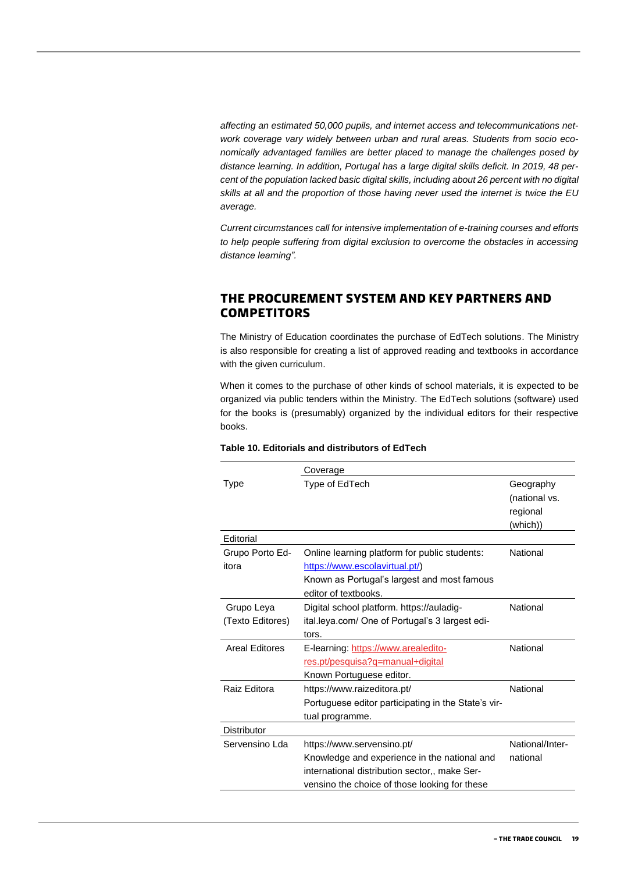*affecting an estimated 50,000 pupils, and internet access and telecommunications network coverage vary widely between urban and rural areas. Students from socio economically advantaged families are better placed to manage the challenges posed by distance learning. In addition, Portugal has a large digital skills deficit. In 2019, 48 percent of the population lacked basic digital skills, including about 26 percent with no digital skills at all and the proportion of those having never used the internet is twice the EU average.* 

*Current circumstances call for intensive implementation of e-training courses and efforts to help people suffering from digital exclusion to overcome the obstacles in accessing distance learning".*

### <span id="page-18-0"></span>**The procurement system and key partners and competitors**

The Ministry of Education coordinates the purchase of EdTech solutions. The Ministry is also responsible for creating a list of approved reading and textbooks in accordance with the given curriculum.

When it comes to the purchase of other kinds of school materials, it is expected to be organized via public tenders within the Ministry. The EdTech solutions (software) used for the books is (presumably) organized by the individual editors for their respective books.

|                       | Coverage                                            |                 |
|-----------------------|-----------------------------------------------------|-----------------|
| Type                  | Type of EdTech                                      | Geography       |
|                       |                                                     | (national vs.   |
|                       |                                                     | regional        |
|                       |                                                     | (which))        |
| Editorial             |                                                     |                 |
| Grupo Porto Ed-       | Online learning platform for public students:       | National        |
| itora                 | https://www.escolavirtual.pt/)                      |                 |
|                       | Known as Portugal's largest and most famous         |                 |
|                       | editor of textbooks.                                |                 |
| Grupo Leya            | Digital school platform. https://auladig-           | National        |
| (Texto Editores)      | ital.leya.com/ One of Portugal's 3 largest edi-     |                 |
|                       | tors.                                               |                 |
| <b>Areal Editores</b> | E-learning: https://www.arealedito-                 | National        |
|                       | res.pt/pesquisa?q=manual+digital                    |                 |
|                       | Known Portuguese editor.                            |                 |
| Raiz Editora          | https://www.raizeditora.pt/                         | National        |
|                       | Portuguese editor participating in the State's vir- |                 |
|                       | tual programme.                                     |                 |
| <b>Distributor</b>    |                                                     |                 |
| Servensino Lda        | https://www.servensino.pt/                          | National/Inter- |
|                       | Knowledge and experience in the national and        | national        |
|                       | international distribution sector,, make Ser-       |                 |
|                       | vensino the choice of those looking for these       |                 |

#### **Table 10. Editorials and distributors of EdTech**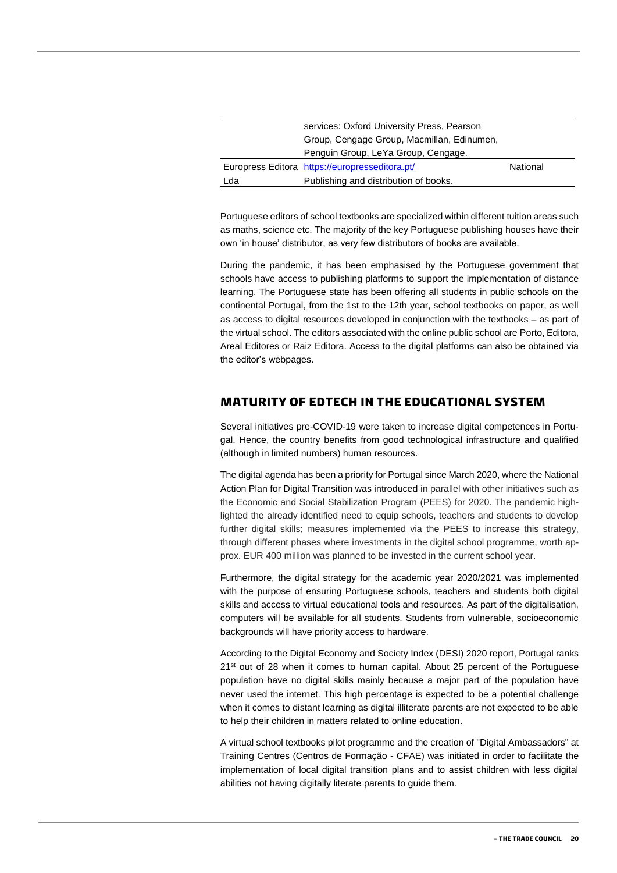|     | services: Oxford University Press, Pearson     |          |
|-----|------------------------------------------------|----------|
|     | Group, Cengage Group, Macmillan, Edinumen,     |          |
|     | Penguin Group, LeYa Group, Cengage.            |          |
|     | Europress Editora https://europresseditora.pt/ | National |
| Lda | Publishing and distribution of books.          |          |

Portuguese editors of school textbooks are specialized within different tuition areas such as maths, science etc. The majority of the key Portuguese publishing houses have their own 'in house' distributor, as very few distributors of books are available.

During the pandemic, it has been emphasised by the Portuguese government that schools have access to publishing platforms to support the implementation of distance learning. The Portuguese state has been offering all students in public schools on the continental Portugal, from the 1st to the 12th year, school textbooks on paper, as well as access to digital resources developed in conjunction with the textbooks – as part of the virtual school. The editors associated with the online public school are Porto, Editora, Areal Editores or Raiz Editora. Access to the digital platforms can also be obtained via the editor's webpages.

#### <span id="page-19-0"></span>**Maturity of EdTech in the educational system**

Several initiatives pre-COVID-19 were taken to increase digital competences in Portugal. Hence, the country benefits from good technological infrastructure and qualified (although in limited numbers) human resources.

The digital agenda has been a priority for Portugal since March 2020, where the National Action Plan for Digital Transition was introduced in parallel with other initiatives such as the Economic and Social Stabilization Program (PEES) for 2020. The pandemic highlighted the already identified need to equip schools, teachers and students to develop further digital skills; measures implemented via the PEES to increase this strategy, through different phases where investments in the digital school programme, worth approx. EUR 400 million was planned to be invested in the current school year.

Furthermore, the digital strategy for the academic year 2020/2021 was implemented with the purpose of ensuring Portuguese schools, teachers and students both digital skills and access to virtual educational tools and resources. As part of the digitalisation, computers will be available for all students. Students from vulnerable, socioeconomic backgrounds will have priority access to hardware.

According to the Digital Economy and Society Index (DESI) 2020 report, Portugal ranks  $21<sup>st</sup>$  out of 28 when it comes to human capital. About 25 percent of the Portuguese population have no digital skills mainly because a major part of the population have never used the internet. This high percentage is expected to be a potential challenge when it comes to distant learning as digital illiterate parents are not expected to be able to help their children in matters related to online education.

A virtual school textbooks pilot programme and the creation of "Digital Ambassadors" at Training Centres (Centros de Formação - CFAE) was initiated in order to facilitate the implementation of local digital transition plans and to assist children with less digital abilities not having digitally literate parents to guide them.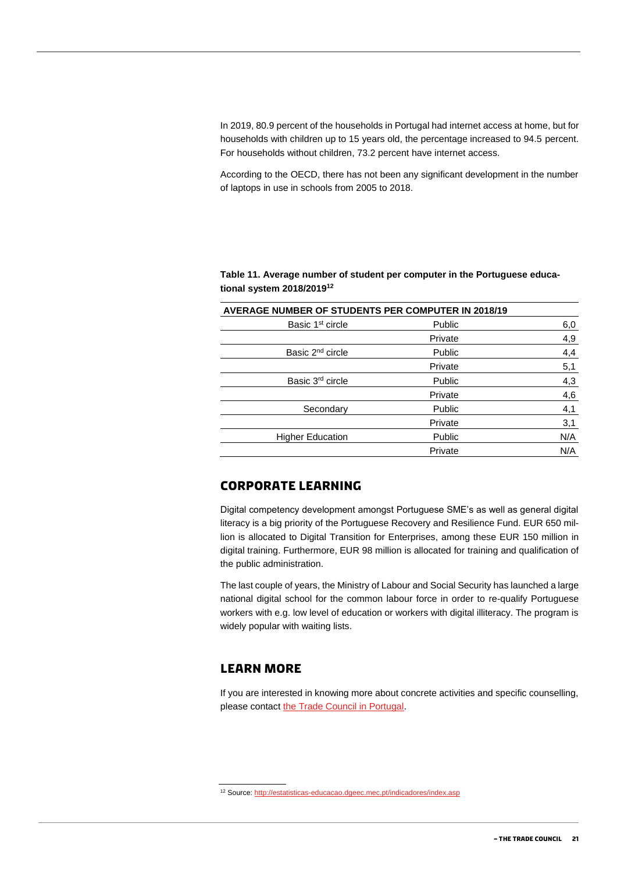In 2019, 80.9 percent of the households in Portugal had internet access at home, but for households with children up to 15 years old, the percentage increased to 94.5 percent. For households without children, 73.2 percent have internet access.

According to the OECD, there has not been any significant development in the number of laptops in use in schools from 2005 to 2018.

**Table 11. Average number of student per computer in the Portuguese educational system 2018/2019<sup>12</sup>**

| <b>AVERAGE NUMBER OF STUDENTS PER COMPUTER IN 2018/19</b> |         |     |
|-----------------------------------------------------------|---------|-----|
| Basic 1 <sup>st</sup> circle                              | Public  | 6,0 |
|                                                           | Private | 4,9 |
| Basic 2 <sup>nd</sup> circle                              | Public  | 4,4 |
|                                                           | Private | 5,1 |
| Basic 3 <sup>rd</sup> circle                              | Public  | 4,3 |
|                                                           | Private | 4,6 |
| Secondary                                                 | Public  | 4,1 |
|                                                           | Private | 3,1 |
| <b>Higher Education</b>                                   | Public  | N/A |
|                                                           | Private | N/A |

#### <span id="page-20-0"></span>**Corporate learning**

Digital competency development amongst Portuguese SME's as well as general digital literacy is a big priority of the Portuguese Recovery and Resilience Fund. EUR 650 million is allocated to Digital Transition for Enterprises, among these EUR 150 million in digital training. Furthermore, EUR 98 million is allocated for training and qualification of the public administration.

The last couple of years, the Ministry of Labour and Social Security has launched a large national digital school for the common labour force in order to re-qualify Portuguese workers with e.g. low level of education or workers with digital illiteracy. The program is widely popular with waiting lists.

#### <span id="page-20-1"></span>**Learn more**

If you are interested in knowing more about concrete activities and specific counselling, please contact [the Trade Council in Portugal.](https://portugal.um.dk/eksportraadet)

<sup>12</sup> Source[: http://estatisticas-educacao.dgeec.mec.pt/indicadores/index.asp](http://estatisticas-educacao.dgeec.mec.pt/indicadores/index.asp)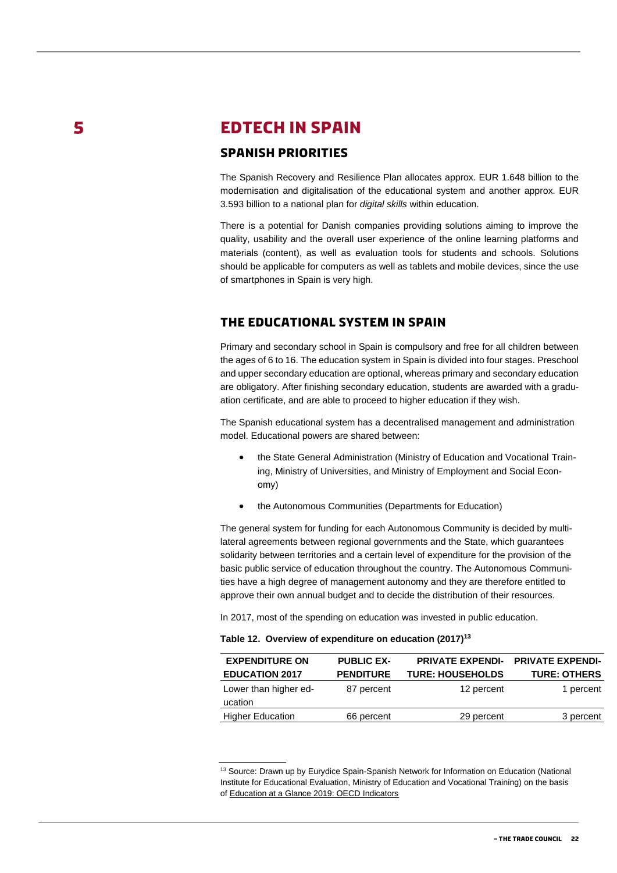5

## <span id="page-21-0"></span>**EDTECH IN SPAIN**

#### <span id="page-21-1"></span>**Spanish priorities**

The Spanish Recovery and Resilience Plan allocates approx. EUR 1.648 billion to the modernisation and digitalisation of the educational system and another approx. EUR 3.593 billion to a national plan for *digital skills* within education.

There is a potential for Danish companies providing solutions aiming to improve the quality, usability and the overall user experience of the online learning platforms and materials (content), as well as evaluation tools for students and schools. Solutions should be applicable for computers as well as tablets and mobile devices, since the use of smartphones in Spain is very high.

#### <span id="page-21-2"></span>**The educational system in Spain**

Primary and secondary school in Spain is compulsory and free for all children between the ages of 6 to 16. The education system in Spain is divided into four stages. Preschool and upper secondary education are optional, whereas primary and secondary education are obligatory. After finishing secondary education, students are awarded with a graduation certificate, and are able to proceed to higher education if they wish.

The Spanish educational system has a decentralised management and administration model. Educational powers are shared between:

- the State General Administration (Ministry of Education and Vocational Training, Ministry of Universities, and Ministry of Employment and Social Economy)
- the Autonomous Communities (Departments for Education)

The general system for funding for each Autonomous Community is decided by multilateral agreements between regional governments and the State, which guarantees solidarity between territories and a certain level of expenditure for the provision of the basic public service of education throughout the country. The Autonomous Communities have a high degree of management autonomy and they are therefore entitled to approve their own annual budget and to decide the distribution of their resources.

In 2017, most of the spending on education was invested in public education.

| Table 12. Overview of expenditure on education (2017) <sup>13</sup> |  |  |  |  |  |
|---------------------------------------------------------------------|--|--|--|--|--|
|---------------------------------------------------------------------|--|--|--|--|--|

| <b>EXPENDITURE ON</b>            | <b>PUBLIC EX-</b> | <b>PRIVATE EXPENDI-</b> | <b>PRIVATE EXPENDI-</b> |
|----------------------------------|-------------------|-------------------------|-------------------------|
| <b>EDUCATION 2017</b>            | <b>PENDITURE</b>  | <b>TURE: HOUSEHOLDS</b> | <b>TURE: OTHERS</b>     |
| Lower than higher ed-<br>ucation | 87 percent        | 12 percent              | 1 percent               |
| <b>Higher Education</b>          | 66 percent        | 29 percent              | 3 percent               |

<sup>&</sup>lt;sup>13</sup> Source: Drawn up by Eurydice Spain-Spanish Network for Information on Education (National Institute for Educational Evaluation, Ministry of Education and Vocational Training) on the basis of [Education at a Glance 2019: OECD Indicators](https://www.oecd-ilibrary.org/education/education-at-a-glance-2019_f8d7880d-en)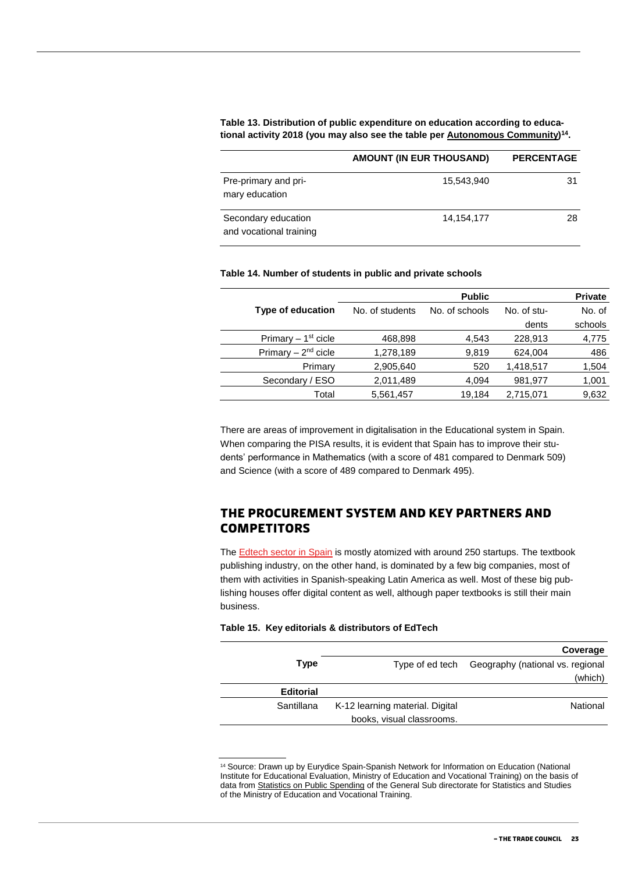#### **Table 13. Distribution of public expenditure on education according to educational activity 2018 (you may also see the table per [Autonomous Community\)](http://www.educacionyfp.gob.es/mc/redie-eurydice/sistemas-educativos/financiacion/gasto-publico-educacion.html#_blank) 14 .**

|                                                | <b>AMOUNT (IN EUR THOUSAND)</b> | <b>PERCENTAGE</b> |
|------------------------------------------------|---------------------------------|-------------------|
| Pre-primary and pri-<br>mary education         | 15,543,940                      | 31                |
| Secondary education<br>and vocational training | 14,154,177                      | 28                |

#### **Table 14. Number of students in public and private schools**

|                          |                 | <b>Public</b>  |             | <b>Private</b> |
|--------------------------|-----------------|----------------|-------------|----------------|
| <b>Type of education</b> | No. of students | No. of schools | No. of stu- | No. of         |
|                          |                 |                | dents       | schools        |
| Primary $-1st$ cicle     | 468,898         | 4,543          | 228,913     | 4,775          |
| Primary $-2nd$ cicle     | 1,278,189       | 9,819          | 624,004     | 486            |
| Primary                  | 2,905,640       | 520            | 1,418,517   | 1,504          |
| Secondary / ESO          | 2,011,489       | 4,094          | 981,977     | 1,001          |
| Total                    | 5,561,457       | 19,184         | 2,715,071   | 9,632          |
|                          |                 |                |             |                |

There are areas of improvement in digitalisation in the Educational system in Spain. When comparing the PISA results, it is evident that Spain has to improve their students' performance in Mathematics (with a score of 481 compared to Denmark 509) and Science (with a score of 489 compared to Denmark 495).

#### <span id="page-22-0"></span>**The procurement system and key partners and competitors**

Th[e Edtech sector in Spain](https://elreferente.es/scouting/el-sector-edtech-se-transforma-para-lograr-traccion-ventas-y-buenas-metricas-para-los-inversores/) is mostly atomized with around 250 startups. The textbook publishing industry, on the other hand, is dominated by a few big companies, most of them with activities in Spanish-speaking Latin America as well. Most of these big publishing houses offer digital content as well, although paper textbooks is still their main business.

#### **Table 15. Key editorials & distributors of EdTech**

|                  |                                 | Coverage                                         |
|------------------|---------------------------------|--------------------------------------------------|
| Type             |                                 | Type of ed tech Geography (national vs. regional |
|                  |                                 | (which)                                          |
| <b>Editorial</b> |                                 |                                                  |
| Santillana       | K-12 learning material. Digital | National                                         |
|                  | books, visual classrooms.       |                                                  |

<sup>14</sup> Source: Drawn up by Eurydice Spain-Spanish Network for Information on Education (National Institute for Educational Evaluation, Ministry of Education and Vocational Training) on the basis of data from [Statistics on Public Spending](https://www.educacionyfp.gob.es/servicios-al-ciudadano/estadisticas.html#_blank) of the General Sub directorate for Statistics and Studies of the Ministry of Education and Vocational Training.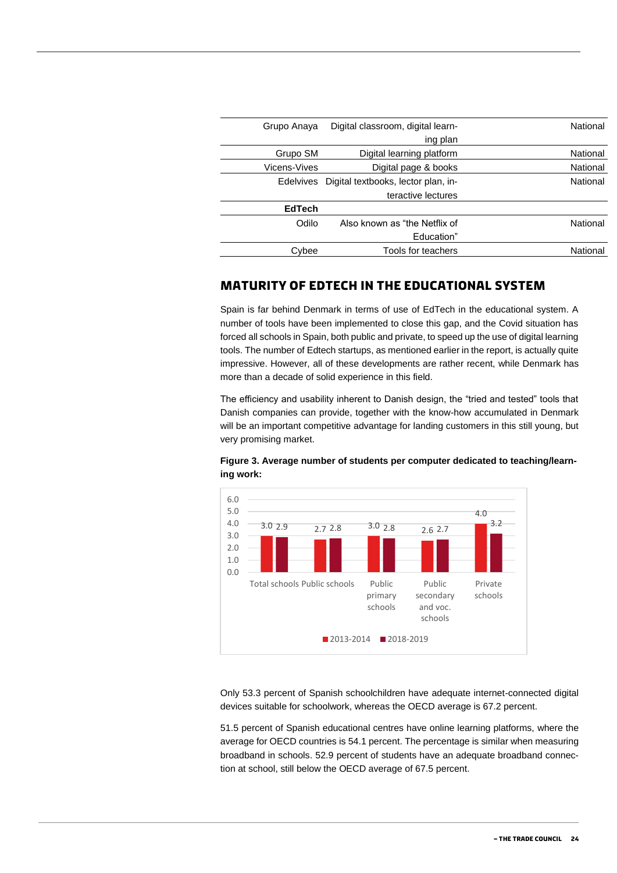| National | Digital classroom, digital learn-                       |                     |
|----------|---------------------------------------------------------|---------------------|
|          | ing plan                                                |                     |
| National | Digital learning platform                               | Grupo SM            |
| National | Digital page & books                                    | <b>Vicens-Vives</b> |
| National | Digital textbooks, lector plan, in-<br><b>Edelvives</b> |                     |
|          | teractive lectures                                      |                     |
|          |                                                         | <b>EdTech</b>       |
| National | Also known as "the Netflix of                           | Odilo               |
|          | Education"                                              |                     |
| National | Tools for teachers                                      | Cybee               |
|          |                                                         |                     |

#### <span id="page-23-0"></span>**Maturity of EdTech in the educational system**

Spain is far behind Denmark in terms of use of EdTech in the educational system. A number of tools have been implemented to close this gap, and the Covid situation has forced all schools in Spain, both public and private, to speed up the use of digital learning tools. The number of Edtech startups, as mentioned earlier in the report, is actually quite impressive. However, all of these developments are rather recent, while Denmark has more than a decade of solid experience in this field.

The efficiency and usability inherent to Danish design, the "tried and tested" tools that Danish companies can provide, together with the know-how accumulated in Denmark will be an important competitive advantage for landing customers in this still young, but very promising market.



#### **Figure 3. Average number of students per computer dedicated to teaching/learning work:**

Only 53.3 percent of Spanish schoolchildren have adequate internet-connected digital devices suitable for schoolwork, whereas the OECD average is 67.2 percent.

51.5 percent of Spanish educational centres have online learning platforms, where the average for OECD countries is 54.1 percent. The percentage is similar when measuring broadband in schools. 52.9 percent of students have an adequate broadband connection at school, still below the OECD average of 67.5 percent.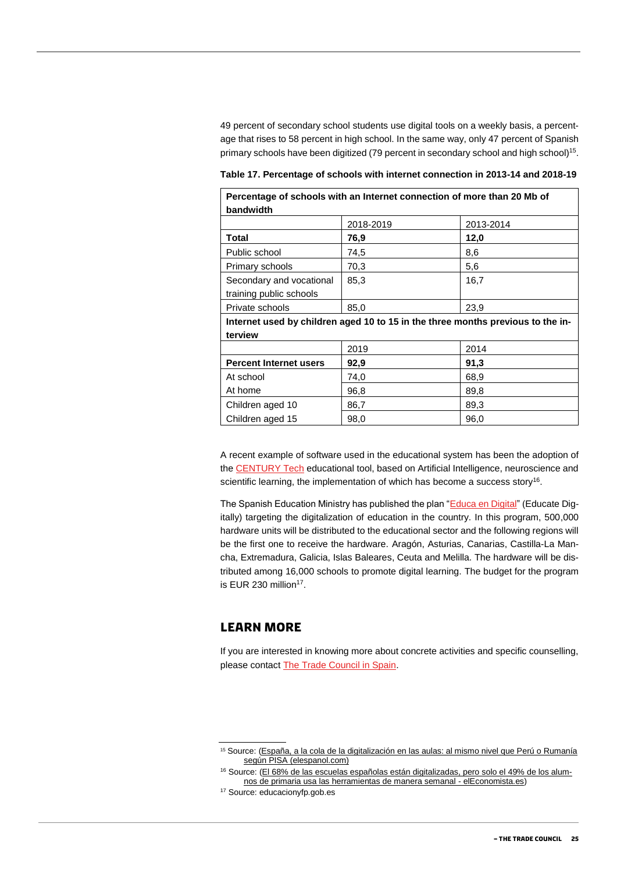49 percent of secondary school students use digital tools on a weekly basis, a percentage that rises to 58 percent in high school. In the same way, only 47 percent of Spanish primary schools have been digitized (79 percent in secondary school and high school)<sup>15</sup>.

**Table 17. Percentage of schools with internet connection in 2013-14 and 2018-19**

| Percentage of schools with an Internet connection of more than 20 Mb of         |           |           |
|---------------------------------------------------------------------------------|-----------|-----------|
| bandwidth                                                                       |           |           |
|                                                                                 | 2018-2019 | 2013-2014 |
| Total                                                                           | 76,9      | 12,0      |
| Public school                                                                   | 74,5      | 8,6       |
| Primary schools                                                                 | 70,3      | 5,6       |
| Secondary and vocational                                                        | 85,3      | 16,7      |
| training public schools                                                         |           |           |
| Private schools                                                                 | 85,0      | 23,9      |
| Internet used by children aged 10 to 15 in the three months previous to the in- |           |           |
| terview                                                                         |           |           |
|                                                                                 | 2019      | 2014      |
| <b>Percent Internet users</b>                                                   | 92,9      | 91,3      |
| At school                                                                       | 74,0      | 68,9      |
| At home                                                                         | 96,8      | 89,8      |
| Children aged 10                                                                | 86,7      | 89,3      |
| Children aged 15                                                                | 98,0      | 96,0      |

A recent example of software used in the educational system has been the adoption of th[e CENTURY Tech](https://www.century.tech/news/how-to-implement-new-technology-in-the-classroom/) educational tool, based on Artificial Intelligence, neuroscience and scientific learning, the implementation of which has become a success story<sup>16</sup>.

The Spanish Education Ministry has published the plan ["Educa en Digital"](http://www.educacionyfp.gob.es/prensa/actualidad/2020/06/20200616-educaendigital.html) (Educate Digitally) targeting the digitalization of education in the country. In this program, 500,000 hardware units will be distributed to the educational sector and the following regions will be the first one to receive the hardware. Aragón, Asturias, Canarias, Castilla-La Mancha, Extremadura, Galicia, Islas Baleares, Ceuta and Melilla. The hardware will be distributed among 16,000 schools to promote digital learning. The budget for the program is EUR 230 million<sup>17</sup>.

#### <span id="page-24-0"></span>**Learn more**

If you are interested in knowing more about concrete activities and specific counselling, please contact [The Trade Council in Spain.](https://spanien.um.dk/eksportraadet/spanien-som-marked/messer-og-eksportfremstoed)

<sup>15</sup> Source: (España, a la cola de la digitalización en las aulas: al mismo nivel que Perú o Rumanía según PISA [\(elespanol.com\)](https://www.elespanol.com/sociedad/educacion/20200929/espana-digitalizacion-aulas-mismo-peru-rumania-pisa/524448698_0.html)

<sup>16</sup> Source: (El 68% de las [escuelas españolas están digitalizadas, pero solo el 49% de los alum](https://www.eleconomista.es/ecoaula/noticias/10955429/12/20/El-68-de-las-escuelas-espanolas-estan-digitalizadas-pero-solo-el-49-de-los-alumnos-de-primaria-usa-las-herramientas-de-manera-semanal.html)[nos de primaria usa las herramientas de manera semanal -](https://www.eleconomista.es/ecoaula/noticias/10955429/12/20/El-68-de-las-escuelas-espanolas-estan-digitalizadas-pero-solo-el-49-de-los-alumnos-de-primaria-usa-las-herramientas-de-manera-semanal.html) elEconomista.es)

<sup>17</sup> Source: educacionyfp.gob.es